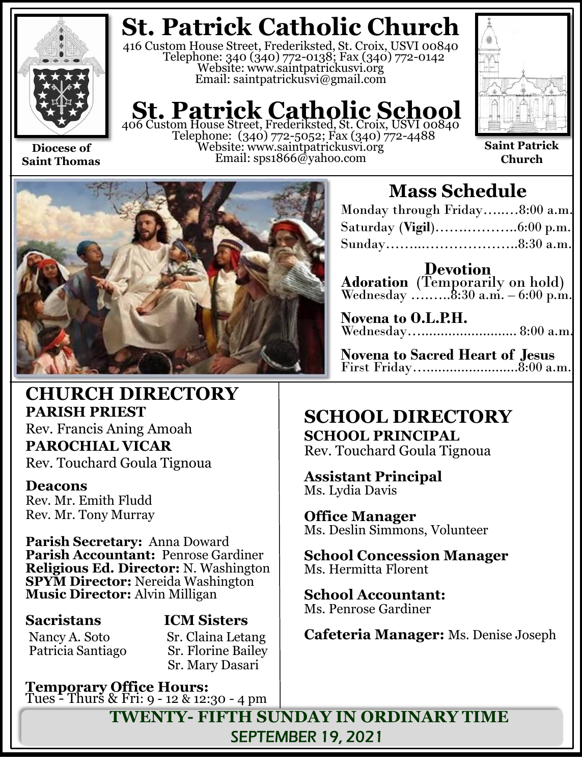

**Diocese of Saint Thomas**

**St. Patrick Catholic Church**

416 Custom House Street, Frederiksted, St. Croix, USVI 00840 Telephone: 340 (340) 772-0138; Fax (340) 772-0142 Website: www.saintpatrickusvi.org Email: saintpatrickusvi@gmail.com

# **St. Patrick Catholic School**<br>406 Custom House Street, Frederiksted, St. Croix, USVI 00840

Telephone: (340) 772-5052; Fax (340) 772-4488 Website: www.saintpatrickusvi.org Email: sps1866@yahoo.com



**Saint Patrick Church**



## **CHURCH DIRECTORY PARISH PRIEST**

Rev. Francis Aning Amoah **PAROCHIAL VICAR** Rev. Touchard Goula Tignoua

### **Deacons**

Rev. Mr. Emith Fludd Rev. Mr. Tony Murray

**Parish Secretary:** Anna Doward **Parish Accountant:** Penrose Gardiner **Religious Ed. Director:** N. Washington **SPYM Director:** Nereida Washington **Music Director:** Alvin Milligan

Patricia Santiago

## **Sacristans ICM Sisters**

Nancy A. Soto Sr. Claina Letang<br>Patricia Santiago Sr. Florine Bailey Sr. Mary Dasari

**Temporary Office Hours:**  Tues - Thurs & Fri: 9 - 12 & 12:30 - 4 pm

## **Mass Schedule**

| Monday through Friday8:00 a.m. |  |
|--------------------------------|--|
|                                |  |
| Sunday8:30 a.m.                |  |

**Devotion Adoration** (Temporarily on hold) Wednesday .......... $8:30$  a.m.  $-6:00$  p.m.

| Novena to O.L.P.H. |  |
|--------------------|--|
|                    |  |

**Novena to Sacred Heart of Jesus** First Friday…........................8:00 a.m.

## **SCHOOL DIRECTORY SCHOOL PRINCIPAL**

Rev. Touchard Goula Tignoua

**Assistant Principal** Ms. Lydia Davis

**Office Manager** Ms. Deslin Simmons, Volunteer

**School Concession Manager** Ms. Hermitta Florent

**School Accountant:**  Ms. Penrose Gardiner

**Cafeteria Manager:** Ms. Denise Joseph

**TWENTY- FIFTH SUNDAY IN ORDINARY TIME** SEPTEMBER 19, 2021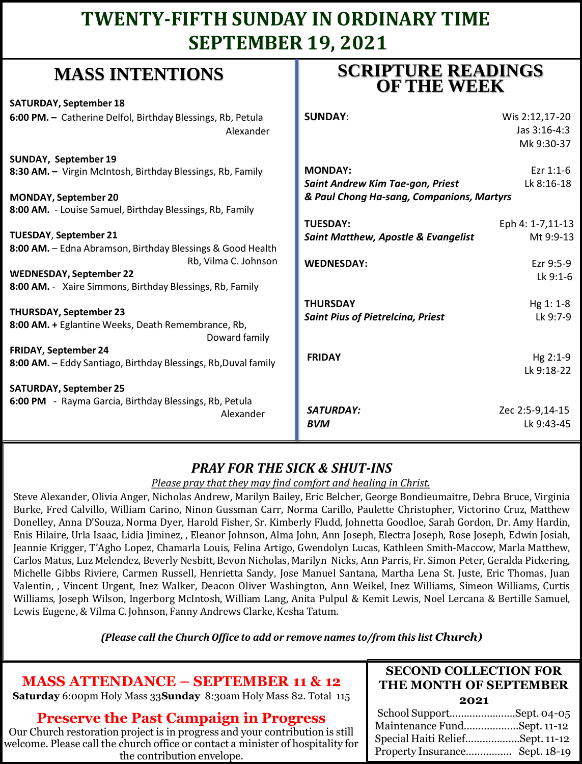## **TWENTY-FIFTH SUNDAY IN ORDINARY TIME SEPTEMBER 19, 2021**

## **MASS INTENTIONS**

**SATURDAY, September 18 6:00 PM. -** Catherine Delfol, Birthday Bles

**SUNDAY, September 19 8:30 AM. -** Virgin McIntosh, Birthday Bles

**MONDAY, September 20 8:00 AM.** - Louise Samuel, Birthday Blessir

**TUESDAY**, **September 21** 8:00 AM. - Edna Abramson, Birthday Bless

**WEDNESDAY, September 22 8:00 AM.** - Xaire Simmons, Birthday Bless

**THURSDAY, September 23** 8:00 AM. + Eglantine Weeks, Death Remer

**FRIDAY, September 24** 8:00 AM. - Eddy Santiago, Birthday Blessin

**SATURDAY, September 25 6:00 PM** - Rayma Garcia, Birthday Blessin

## **SCRIPTURE READINGS OF THE WEEK**

| ssings, Rb, Petula<br>Alexander             | <b>SUNDAY:</b>                                                                                  | Wis 2:12,17-20<br>Jas 3:16-4:3<br>Mk 9:30-37 |
|---------------------------------------------|-------------------------------------------------------------------------------------------------|----------------------------------------------|
| ssings, Rb, Family                          | <b>MONDAY:</b><br>Saint Andrew Kim Tae-gon, Priest<br>& Paul Chong Ha-sang, Companions, Martyrs | Ezr $1:1-6$<br>Lk 8:16-18                    |
| ings, Rb, Family                            | <b>TUESDAY:</b>                                                                                 | Eph 4: 1-7,11-13                             |
| sings & Good Health<br>Rb, Vilma C. Johnson | <b>Saint Matthew, Apostle &amp; Evangelist</b><br><b>WEDNESDAY:</b>                             | Mt 9:9-13<br>Ezr 9:5-9                       |
| sings, Rb, Family                           |                                                                                                 | $Lk$ 9:1-6                                   |
| embrance, Rb,<br>Doward family              | <b>THURSDAY</b><br><b>Saint Pius of Pietrelcina, Priest</b>                                     | Hg 1: 1-8<br>Lk 9:7-9                        |
| ings, Rb, Duval family                      | <b>FRIDAY</b>                                                                                   | Hg 2:1-9<br>Lk 9:18-22                       |
| ings, Rb, Petula<br>Alexander               | <b>SATURDAY:</b><br><b>BVM</b>                                                                  | Zec 2:5-9,14-15<br>Lk 9:43-45                |

## *PRAY FOR THE SICK & SHUT-INS*

#### *Please pray that they may find comfort and healing in Christ.*

Steve Alexander, Olivia Anger, Nicholas Andrew, Marilyn Bailey, Eric Belcher, George Bondieumaitre, Debra Bruce, Virginia Burke, Fred Calvillo, William Carino, Ninon Gussman Carr, Norma Carillo, Paulette Christopher, Victorino Cruz, Matthew Donelley, Anna D'Souza, Norma Dyer, Harold Fisher, Sr. Kimberly Fludd, Johnetta Goodloe, Sarah Gordon, Dr. Amy Hardin, Enis Hilaire, Urla Isaac, Lidia Jiminez, , Eleanor Johnson, Alma John, Ann Joseph, Electra Joseph, Rose Joseph, Edwin Josiah, Jeannie Krigger, T'Agho Lopez, Chamarla Louis, Felina Artigo, Gwendolyn Lucas, Kathleen Smith-Maccow, Marla Matthew, Carlos Matus, Luz Melendez, Beverly Nesbitt, Bevon Nicholas, Marilyn Nicks, Ann Parris, Fr. Simon Peter, Geralda Pickering, Michelle Gibbs Riviere, Carmen Russell, Henrietta Sandy, Jose Manuel Santana, Martha Lena St. Juste, Eric Thomas, Juan Valentin, , Vincent Urgent, Inez Walker, Deacon Oliver Washington, Ann Weikel, Inez Williams, Simeon Williams, Curtis Williams, Joseph Wilson, Ingerborg McIntosh, William Lang, Anita Pulpul & Kemit Lewis, Noel Lercana & Bertille Samuel, Lewis Eugene, & Vilma C. Johnson, Fanny Andrews Clarke, Kesha Tatum.

*(Please call the Church Office to add or remove names to/from this list Church)*

## **MASS ATTENDANCE – SEPTEMBER 11 & 12**

**Saturday** 6:00pm Holy Mass 33**Sunday** 8:30am Holy Mass 82. Total 115

### **Preserve the Past Campaign in Progress**

Our Church restoration project is in progress and your contribution is still welcome. Please call the church office or contact a minister of hospitality for the contribution envelope.

#### **SECOND COLLECTION FOR THE MONTH OF SEPTEMBER 2021**

| School SupportSept. 04-05       |  |
|---------------------------------|--|
| Maintenance FundSept. 11-12     |  |
| Special Haiti ReliefSept. 11-12 |  |
| Property Insurance Sept. 18-19  |  |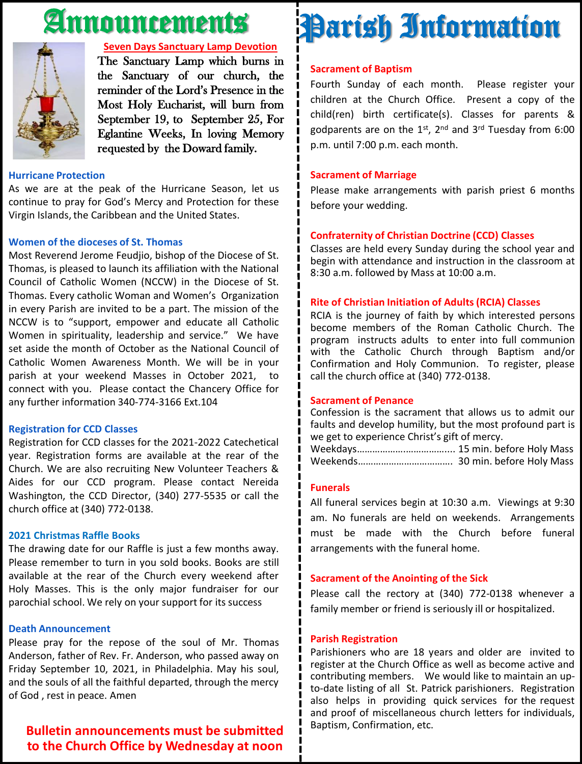# Announcements



#### **Seven Days Sanctuary Lamp Devotion**

The Sanctuary Lamp which burns in the Sanctuary of our church, the reminder of the Lord's Presence in the Most Holy Eucharist, will burn from September 19, to September 25, For Eglantine Weeks, In loving Memory requested by the Doward family.

#### **Hurricane Protection**

As we are at the peak of the Hurricane Season, let us continue to pray for God's Mercy and Protection for these Virgin Islands, the Caribbean and the United States.

#### **Women of the dioceses of St. Thomas**

Most Reverend Jerome Feudjio, bishop of the Diocese of St. Thomas, is pleased to launch its affiliation with the National Council of Catholic Women (NCCW) in the Diocese of St. Thomas. Every catholic Woman and Women's Organization in every Parish are invited to be a part. The mission of the NCCW is to "support, empower and educate all Catholic Women in spirituality, leadership and service." We have set aside the month of October as the National Council of Catholic Women Awareness Month. We will be in your parish at your weekend Masses in October 2021, to connect with you. Please contact the Chancery Office for any further information 340-774-3166 Ext.104

#### **Registration for CCD Classes**

Registration for CCD classes for the 2021-2022 Catechetical year. Registration forms are available at the rear of the Church. We are also recruiting New Volunteer Teachers & Aides for our CCD program. Please contact Nereida Washington, the CCD Director, (340) 277-5535 or call the church office at (340) 772-0138.

#### **2021 Christmas Raffle Books**

The drawing date for our Raffle is just a few months away. Please remember to turn in you sold books. Books are still available at the rear of the Church every weekend after Holy Masses. This is the only major fundraiser for our parochial school. We rely on your support for its success

#### **Death Announcement**

Please pray for the repose of the soul of Mr. Thomas Anderson, father of Rev. Fr. Anderson, who passed away on Friday September 10, 2021, in Philadelphia. May his soul, and the souls of all the faithful departed, through the mercy of God , rest in peace. Amen

#### **Bulletin announcements must be submitted to the Church Office by Wednesday at noon**

# Parish Information

#### **Sacrament of Baptism**

Fourth Sunday of each month. Please register your children at the Church Office. Present a copy of the child(ren) birth certificate(s). Classes for parents & godparents are on the 1st, 2<sup>nd</sup> and 3<sup>rd</sup> Tuesday from 6:00 p.m. until 7:00 p.m. each month.

#### **Sacrament of Marriage**

Please make arrangements with parish priest 6 months before your wedding.

#### **Confraternity of Christian Doctrine (CCD) Classes**

Classes are held every Sunday during the school year and begin with attendance and instruction in the classroom at 8:30 a.m. followed by Mass at 10:00 a.m.

#### **Rite of Christian Initiation of Adults (RCIA) Classes**

RCIA is the journey of faith by which interested persons become members of the Roman Catholic Church. The program instructs adults to enter into full communion with the Catholic Church through Baptism and/or Confirmation and Holy Communion. To register, please call the church office at (340) 772-0138.

#### **Sacrament of Penance**

Confession is the sacrament that allows us to admit our faults and develop humility, but the most profound part is we get to experience Christ's gift of mercy.

Weekdays……………….…………….... 15 min. before Holy Mass Weekends………………………………. 30 min. before Holy Mass

#### **Funerals**

All funeral services begin at 10:30 a.m. Viewings at 9:30 am. No funerals are held on weekends. Arrangements must be made with the Church before funeral arrangements with the funeral home.

#### **Sacrament of the Anointing of the Sick**

Please call the rectory at (340) 772-0138 whenever a family member or friend is seriously ill or hospitalized.

#### **Parish Registration**

Parishioners who are 18 years and older are invited to register at the Church Office as well as become active and contributing members. We would like to maintain an upto-date listing of all St. Patrick parishioners. Registration also helps in providing quick services for the request and proof of miscellaneous church letters for individuals, Baptism, Confirmation, etc.